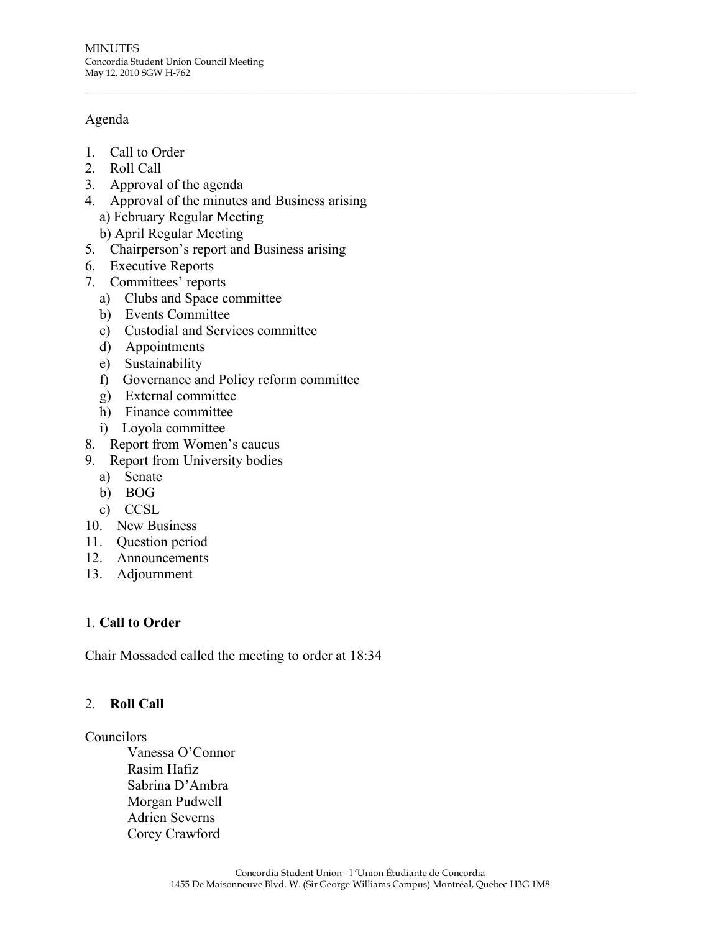# Agenda

- 1. Call to Order
- 2. Roll Call
- 3. Approval of the agenda
- 4. Approval of the minutes and Business arising a) February Regular Meeting

 $\_$  , and the contribution of the contribution of the contribution of the contribution of  $\mathcal{L}_\text{max}$ 

- b) April Regular Meeting
- 5. Chairperson's report and Business arising
- 6. Executive Reports
- 7. Committees' reports
	- a) Clubs and Space committee
	- b) Events Committee
	- c) Custodial and Services committee
	- d) Appointments
	- e) Sustainability
	- f) Governance and Policy reform committee
	- g) External committee
	- h) Finance committee
	- i) Loyola committee
- 8. Report from Women's caucus
- 9. Report from University bodies
	- a) Senate
	- b) BOG
	- c) CCSL
- 10. New Business
- 11. Question period
- 12. Announcements
- 13. Adjournment

# 1. **Call to Order**

Chair Mossaded called the meeting to order at 18:34

# 2. **Roll Call**

#### Councilors

Vanessa O'Connor Rasim Hafiz Sabrina D'Ambra Morgan Pudwell Adrien Severns Corey Crawford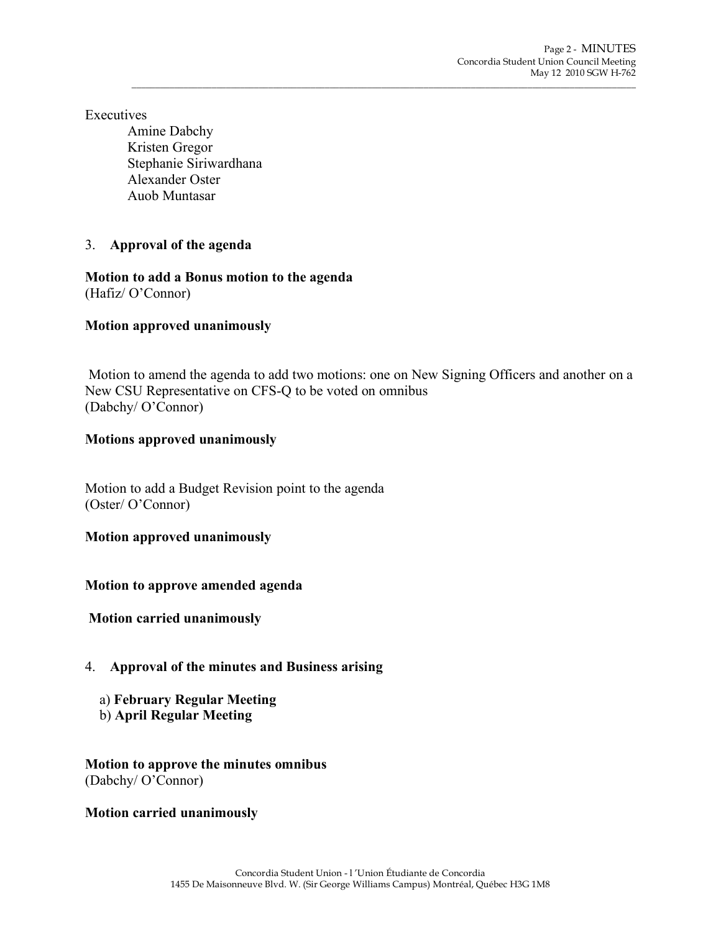**Executives** 

Amine Dabchy Kristen Gregor Stephanie Siriwardhana Alexander Oster Auob Muntasar

# 3. **Approval of the agenda**

**Motion to add a Bonus motion to the agenda** (Hafiz/ O'Connor)

# **Motion approved unanimously**

 Motion to amend the agenda to add two motions: one on New Signing Officers and another on a New CSU Representative on CFS-Q to be voted on omnibus (Dabchy/ O'Connor)

\_\_\_\_\_\_\_\_\_\_\_\_\_\_\_\_\_\_\_\_\_\_\_\_\_\_\_\_\_\_\_\_\_\_\_\_\_\_\_\_\_\_\_\_\_\_\_\_\_\_\_\_\_\_\_\_\_\_\_\_\_\_\_\_\_\_\_\_\_\_\_\_\_\_\_\_\_\_\_\_\_\_\_\_\_\_\_\_\_\_\_\_\_\_\_\_\_\_\_\_\_\_\_\_\_\_\_

# **Motions approved unanimously**

Motion to add a Budget Revision point to the agenda (Oster/ O'Connor)

# **Motion approved unanimously**

# **Motion to approve amended agenda**

 **Motion carried unanimously**

# 4. **Approval of the minutes and Business arising**

- a) **February Regular Meeting**
- b) **April Regular Meeting**

**Motion to approve the minutes omnibus**  (Dabchy/ O'Connor)

# **Motion carried unanimously**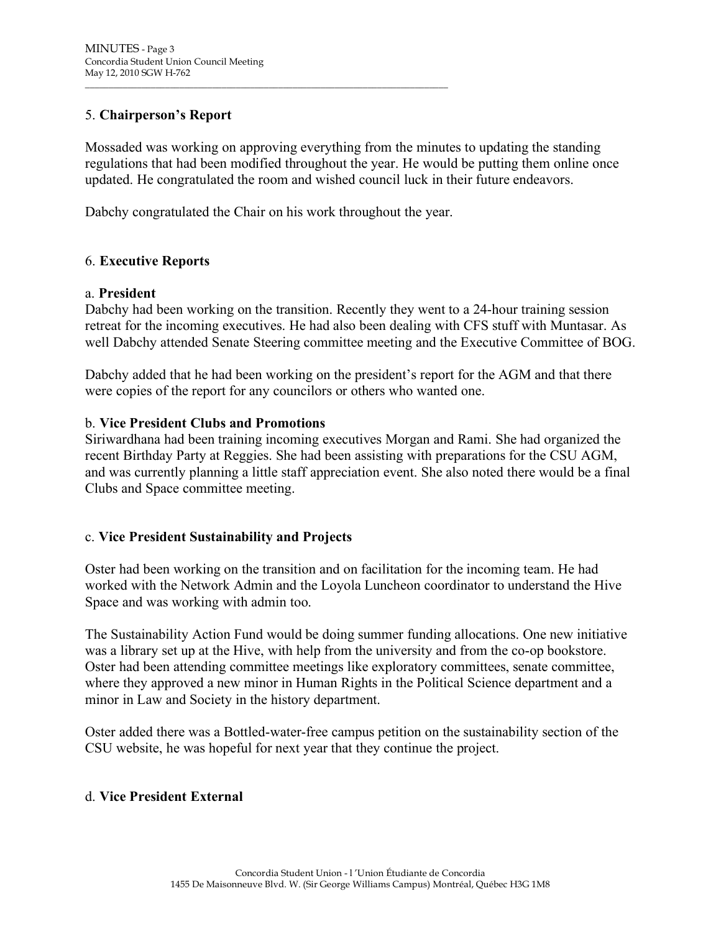# 5. **Chairperson's Report**

Mossaded was working on approving everything from the minutes to updating the standing regulations that had been modified throughout the year. He would be putting them online once updated. He congratulated the room and wished council luck in their future endeavors.

Dabchy congratulated the Chair on his work throughout the year.

\_\_\_\_\_\_\_\_\_\_\_\_\_\_\_\_\_\_\_\_\_\_\_\_\_\_\_\_\_\_\_\_\_\_\_\_\_\_\_\_\_\_\_\_\_\_\_\_\_\_\_\_\_\_\_\_\_\_\_\_\_\_\_\_\_\_\_\_\_\_\_\_\_\_\_\_\_

#### 6. **Executive Reports**

#### a. **President**

Dabchy had been working on the transition. Recently they went to a 24-hour training session retreat for the incoming executives. He had also been dealing with CFS stuff with Muntasar. As well Dabchy attended Senate Steering committee meeting and the Executive Committee of BOG.

Dabchy added that he had been working on the president's report for the AGM and that there were copies of the report for any councilors or others who wanted one.

#### b. **Vice President Clubs and Promotions**

Siriwardhana had been training incoming executives Morgan and Rami. She had organized the recent Birthday Party at Reggies. She had been assisting with preparations for the CSU AGM, and was currently planning a little staff appreciation event. She also noted there would be a final Clubs and Space committee meeting.

#### c. **Vice President Sustainability and Projects**

Oster had been working on the transition and on facilitation for the incoming team. He had worked with the Network Admin and the Loyola Luncheon coordinator to understand the Hive Space and was working with admin too.

The Sustainability Action Fund would be doing summer funding allocations. One new initiative was a library set up at the Hive, with help from the university and from the co-op bookstore. Oster had been attending committee meetings like exploratory committees, senate committee, where they approved a new minor in Human Rights in the Political Science department and a minor in Law and Society in the history department.

Oster added there was a Bottled-water-free campus petition on the sustainability section of the CSU website, he was hopeful for next year that they continue the project.

#### d. **Vice President External**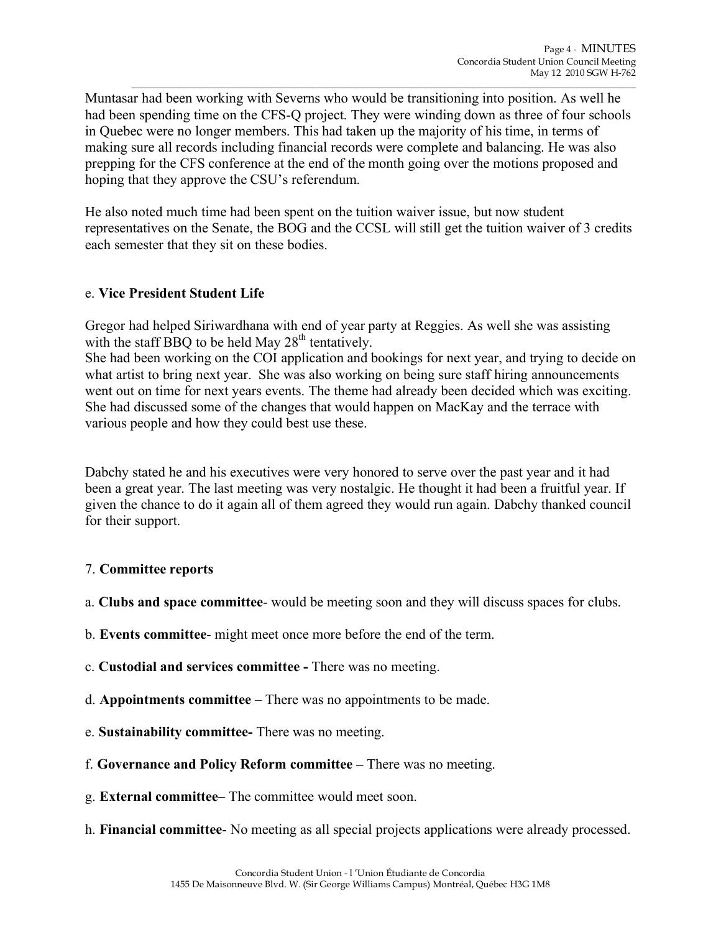Muntasar had been working with Severns who would be transitioning into position. As well he had been spending time on the CFS-Q project. They were winding down as three of four schools in Quebec were no longer members. This had taken up the majority of his time, in terms of making sure all records including financial records were complete and balancing. He was also prepping for the CFS conference at the end of the month going over the motions proposed and hoping that they approve the CSU's referendum.

\_\_\_\_\_\_\_\_\_\_\_\_\_\_\_\_\_\_\_\_\_\_\_\_\_\_\_\_\_\_\_\_\_\_\_\_\_\_\_\_\_\_\_\_\_\_\_\_\_\_\_\_\_\_\_\_\_\_\_\_\_\_\_\_\_\_\_\_\_\_\_\_\_\_\_\_\_\_\_\_\_\_\_\_\_\_\_\_\_\_\_\_\_\_\_\_\_\_\_\_\_\_\_\_\_\_\_

He also noted much time had been spent on the tuition waiver issue, but now student representatives on the Senate, the BOG and the CCSL will still get the tuition waiver of 3 credits each semester that they sit on these bodies.

# e. **Vice President Student Life**

Gregor had helped Siriwardhana with end of year party at Reggies. As well she was assisting with the staff BBQ to be held May  $28<sup>th</sup>$  tentatively.

She had been working on the COI application and bookings for next year, and trying to decide on what artist to bring next year. She was also working on being sure staff hiring announcements went out on time for next years events. The theme had already been decided which was exciting. She had discussed some of the changes that would happen on MacKay and the terrace with various people and how they could best use these.

Dabchy stated he and his executives were very honored to serve over the past year and it had been a great year. The last meeting was very nostalgic. He thought it had been a fruitful year. If given the chance to do it again all of them agreed they would run again. Dabchy thanked council for their support.

# 7. **Committee reports**

- a. **Clubs and space committee** would be meeting soon and they will discuss spaces for clubs.
- b. **Events committee** might meet once more before the end of the term.
- c. **Custodial and services committee -** There was no meeting.
- d. **Appointments committee** There was no appointments to be made.
- e. **Sustainability committee-** There was no meeting.
- f. **Governance and Policy Reform committee –** There was no meeting.
- g. **External committee** The committee would meet soon.
- h. **Financial committee** No meeting as all special projects applications were already processed.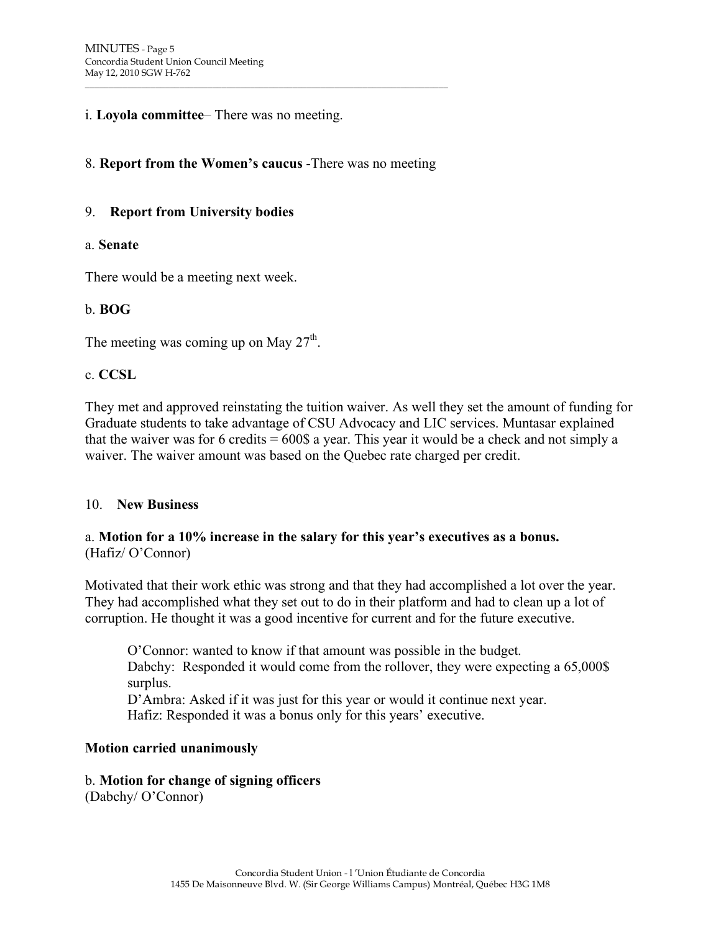#### i. **Loyola committee**– There was no meeting.

#### 8. **Report from the Women's caucus** -There was no meeting

\_\_\_\_\_\_\_\_\_\_\_\_\_\_\_\_\_\_\_\_\_\_\_\_\_\_\_\_\_\_\_\_\_\_\_\_\_\_\_\_\_\_\_\_\_\_\_\_\_\_\_\_\_\_\_\_\_\_\_\_\_\_\_\_\_\_\_\_\_\_\_\_\_\_\_\_\_

#### 9. **Report from University bodies**

#### a. **Senate**

There would be a meeting next week.

#### b. **BOG**

The meeting was coming up on May  $27<sup>th</sup>$ .

#### c. **CCSL**

They met and approved reinstating the tuition waiver. As well they set the amount of funding for Graduate students to take advantage of CSU Advocacy and LIC services. Muntasar explained that the waiver was for 6 credits  $= 600\$  a year. This year it would be a check and not simply a waiver. The waiver amount was based on the Quebec rate charged per credit.

#### 10. **New Business**

#### a. **Motion for a 10% increase in the salary for this year's executives as a bonus.** (Hafiz/ O'Connor)

Motivated that their work ethic was strong and that they had accomplished a lot over the year. They had accomplished what they set out to do in their platform and had to clean up a lot of corruption. He thought it was a good incentive for current and for the future executive.

O'Connor: wanted to know if that amount was possible in the budget. Dabchy: Responded it would come from the rollover, they were expecting a 65,000\$ surplus.

D'Ambra: Asked if it was just for this year or would it continue next year. Hafiz: Responded it was a bonus only for this years' executive.

#### **Motion carried unanimously**

#### b. **Motion for change of signing officers**

(Dabchy/ O'Connor)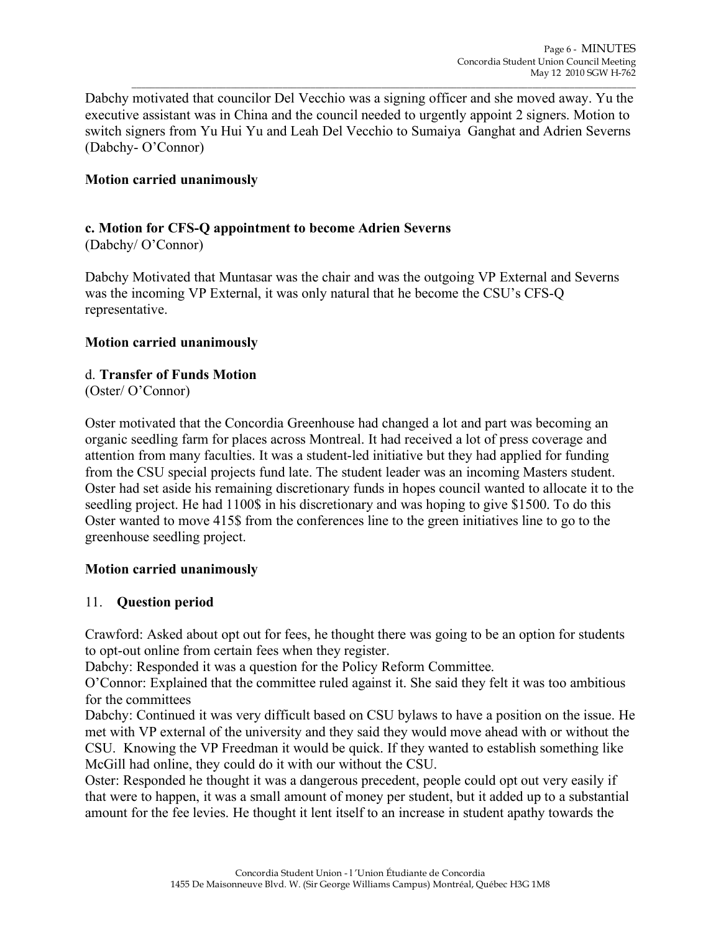Dabchy motivated that councilor Del Vecchio was a signing officer and she moved away. Yu the executive assistant was in China and the council needed to urgently appoint 2 signers. Motion to switch signers from Yu Hui Yu and Leah Del Vecchio to Sumaiya Ganghat and Adrien Severns (Dabchy- O'Connor)

\_\_\_\_\_\_\_\_\_\_\_\_\_\_\_\_\_\_\_\_\_\_\_\_\_\_\_\_\_\_\_\_\_\_\_\_\_\_\_\_\_\_\_\_\_\_\_\_\_\_\_\_\_\_\_\_\_\_\_\_\_\_\_\_\_\_\_\_\_\_\_\_\_\_\_\_\_\_\_\_\_\_\_\_\_\_\_\_\_\_\_\_\_\_\_\_\_\_\_\_\_\_\_\_\_\_\_

### **Motion carried unanimously**

# **c. Motion for CFS-Q appointment to become Adrien Severns**

(Dabchy/ O'Connor)

Dabchy Motivated that Muntasar was the chair and was the outgoing VP External and Severns was the incoming VP External, it was only natural that he become the CSU's CFS-Q representative.

#### **Motion carried unanimously**

#### d. **Transfer of Funds Motion**

(Oster/ O'Connor)

Oster motivated that the Concordia Greenhouse had changed a lot and part was becoming an organic seedling farm for places across Montreal. It had received a lot of press coverage and attention from many faculties. It was a student-led initiative but they had applied for funding from the CSU special projects fund late. The student leader was an incoming Masters student. Oster had set aside his remaining discretionary funds in hopes council wanted to allocate it to the seedling project. He had 1100\$ in his discretionary and was hoping to give \$1500. To do this Oster wanted to move 415\$ from the conferences line to the green initiatives line to go to the greenhouse seedling project.

#### **Motion carried unanimously**

#### 11. **Question period**

Crawford: Asked about opt out for fees, he thought there was going to be an option for students to opt-out online from certain fees when they register.

Dabchy: Responded it was a question for the Policy Reform Committee.

O'Connor: Explained that the committee ruled against it. She said they felt it was too ambitious for the committees

Dabchy: Continued it was very difficult based on CSU bylaws to have a position on the issue. He met with VP external of the university and they said they would move ahead with or without the CSU. Knowing the VP Freedman it would be quick. If they wanted to establish something like McGill had online, they could do it with our without the CSU.

Oster: Responded he thought it was a dangerous precedent, people could opt out very easily if that were to happen, it was a small amount of money per student, but it added up to a substantial amount for the fee levies. He thought it lent itself to an increase in student apathy towards the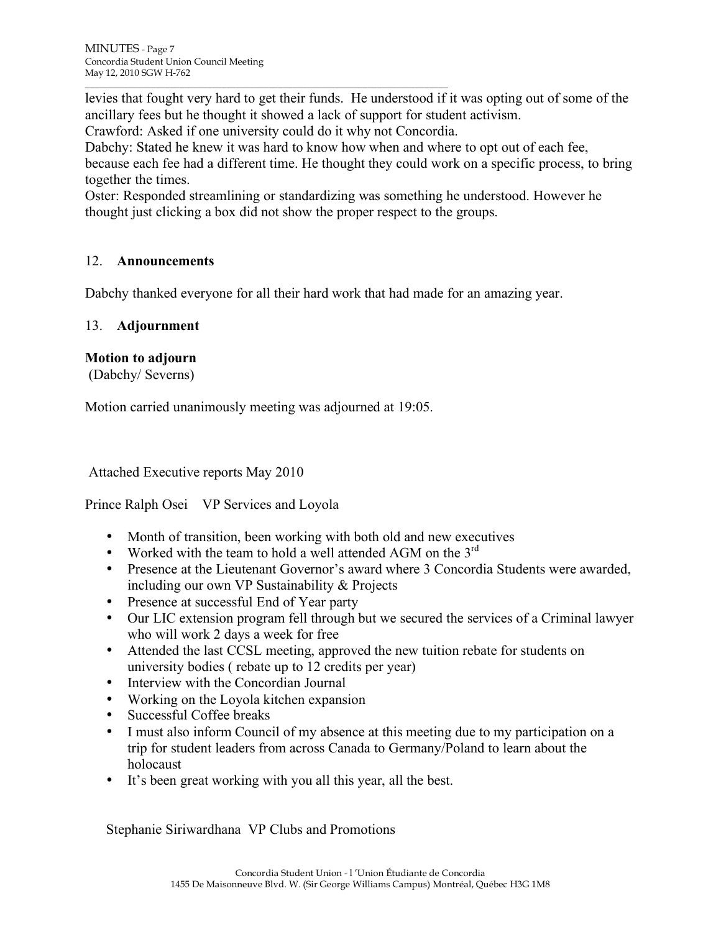levies that fought very hard to get their funds. He understood if it was opting out of some of the ancillary fees but he thought it showed a lack of support for student activism.

Crawford: Asked if one university could do it why not Concordia.

\_\_\_\_\_\_\_\_\_\_\_\_\_\_\_\_\_\_\_\_\_\_\_\_\_\_\_\_\_\_\_\_\_\_\_\_\_\_\_\_\_\_\_\_\_\_\_\_\_\_\_\_\_\_\_\_\_\_\_\_\_\_\_\_\_\_\_\_\_\_\_\_\_\_\_\_\_

Dabchy: Stated he knew it was hard to know how when and where to opt out of each fee, because each fee had a different time. He thought they could work on a specific process, to bring together the times.

Oster: Responded streamlining or standardizing was something he understood. However he thought just clicking a box did not show the proper respect to the groups.

# 12. **Announcements**

Dabchy thanked everyone for all their hard work that had made for an amazing year.

# 13. **Adjournment**

# **Motion to adjourn**

(Dabchy/ Severns)

Motion carried unanimously meeting was adjourned at 19:05.

Attached Executive reports May 2010

# Prince Ralph Osei VP Services and Loyola

- Month of transition, been working with both old and new executives
- Worked with the team to hold a well attended AGM on the  $3<sup>rd</sup>$
- Presence at the Lieutenant Governor's award where 3 Concordia Students were awarded, including our own VP Sustainability & Projects
- Presence at successful End of Year party
- Our LIC extension program fell through but we secured the services of a Criminal lawyer who will work 2 days a week for free
- Attended the last CCSL meeting, approved the new tuition rebate for students on university bodies ( rebate up to 12 credits per year)
- Interview with the Concordian Journal
- Working on the Loyola kitchen expansion
- Successful Coffee breaks
- I must also inform Council of my absence at this meeting due to my participation on a trip for student leaders from across Canada to Germany/Poland to learn about the holocaust
- It's been great working with you all this year, all the best.

Stephanie Siriwardhana VP Clubs and Promotions